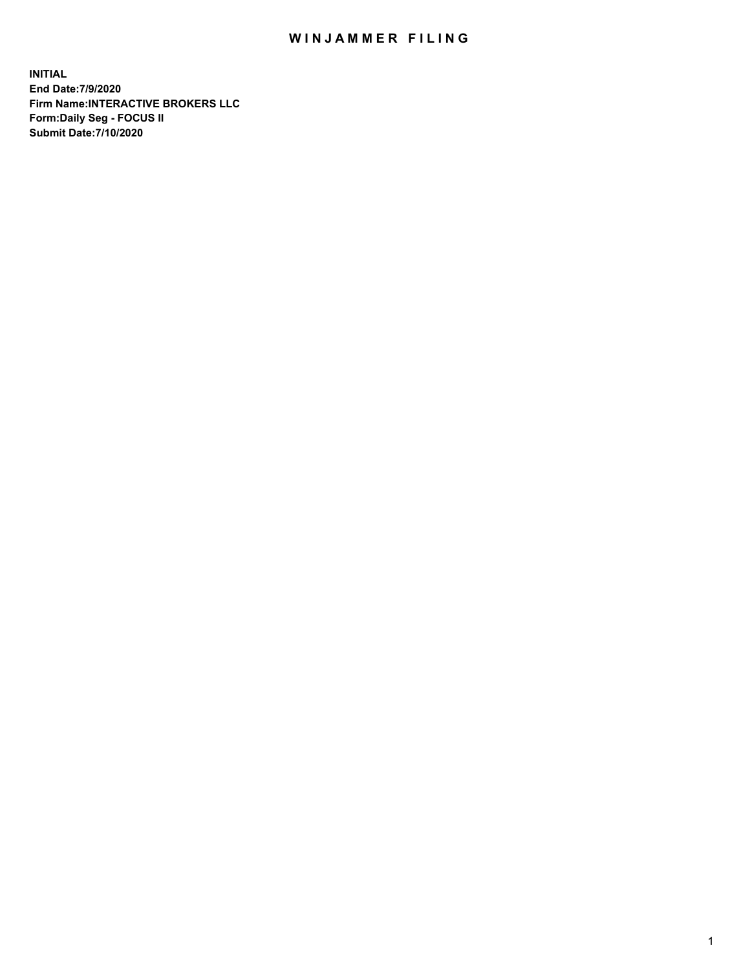## WIN JAMMER FILING

**INITIAL End Date:7/9/2020 Firm Name:INTERACTIVE BROKERS LLC Form:Daily Seg - FOCUS II Submit Date:7/10/2020**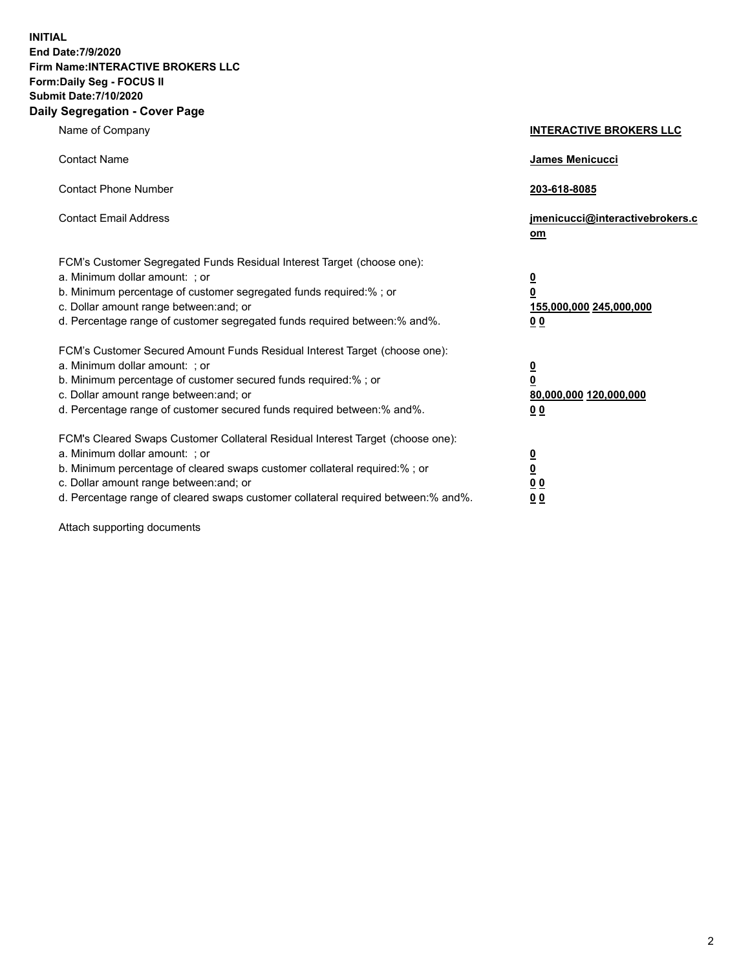**INITIAL End Date:7/9/2020 Firm Name:INTERACTIVE BROKERS LLC Form:Daily Seg - FOCUS II Submit Date:7/10/2020 Daily Segregation - Cover Page**

| Name of Company                                                                                                                                                                                                                                                                                                                | <b>INTERACTIVE BROKERS LLC</b>                                                      |
|--------------------------------------------------------------------------------------------------------------------------------------------------------------------------------------------------------------------------------------------------------------------------------------------------------------------------------|-------------------------------------------------------------------------------------|
| <b>Contact Name</b>                                                                                                                                                                                                                                                                                                            | James Menicucci                                                                     |
| <b>Contact Phone Number</b>                                                                                                                                                                                                                                                                                                    | 203-618-8085                                                                        |
| <b>Contact Email Address</b>                                                                                                                                                                                                                                                                                                   | jmenicucci@interactivebrokers.c<br>om                                               |
| FCM's Customer Segregated Funds Residual Interest Target (choose one):<br>a. Minimum dollar amount: ; or<br>b. Minimum percentage of customer segregated funds required:%; or<br>c. Dollar amount range between: and; or<br>d. Percentage range of customer segregated funds required between:% and%.                          | $\overline{\mathbf{0}}$<br>$\overline{\mathbf{0}}$<br>155,000,000 245,000,000<br>00 |
| FCM's Customer Secured Amount Funds Residual Interest Target (choose one):<br>a. Minimum dollar amount: ; or<br>b. Minimum percentage of customer secured funds required:%; or<br>c. Dollar amount range between: and; or<br>d. Percentage range of customer secured funds required between:% and%.                            | $\overline{\mathbf{0}}$<br>$\overline{\mathbf{0}}$<br>80,000,000 120,000,000<br>00  |
| FCM's Cleared Swaps Customer Collateral Residual Interest Target (choose one):<br>a. Minimum dollar amount: ; or<br>b. Minimum percentage of cleared swaps customer collateral required:% ; or<br>c. Dollar amount range between: and; or<br>d. Percentage range of cleared swaps customer collateral required between:% and%. | $\frac{0}{0}$<br>0 <sub>0</sub><br>0 <sub>0</sub>                                   |

Attach supporting documents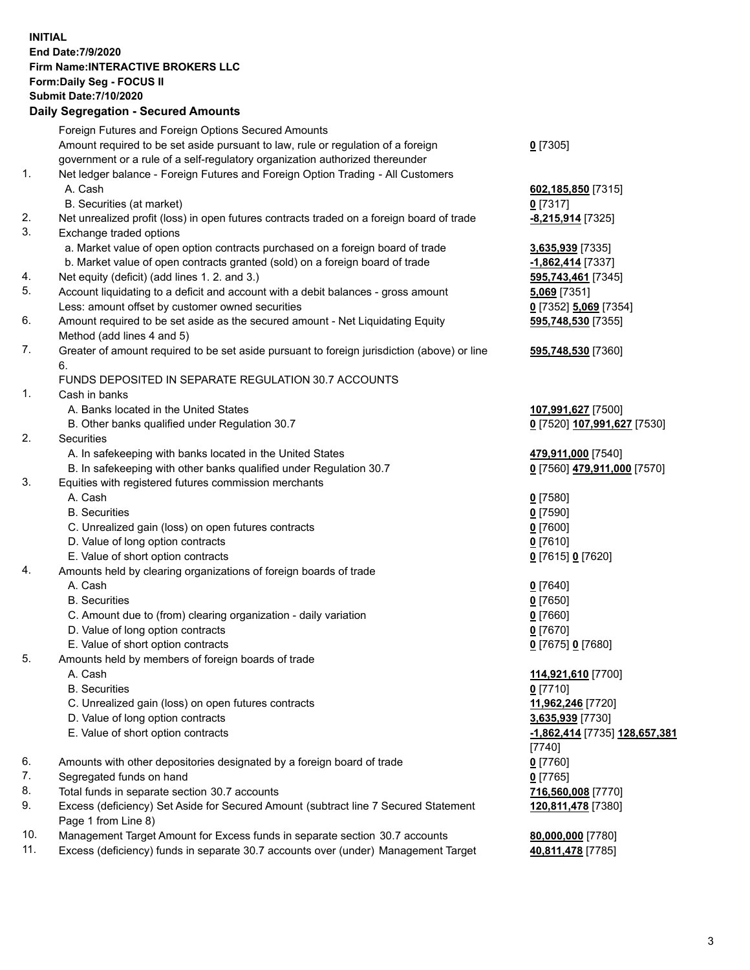**INITIAL End Date:7/9/2020 Firm Name:INTERACTIVE BROKERS LLC Form:Daily Seg - FOCUS II Submit Date:7/10/2020 Daily Segregation - Secured Amounts**

|     | Daily Segregation - Secureu Amounts                                                         |                                      |
|-----|---------------------------------------------------------------------------------------------|--------------------------------------|
|     | Foreign Futures and Foreign Options Secured Amounts                                         |                                      |
|     | Amount required to be set aside pursuant to law, rule or regulation of a foreign            | $0$ [7305]                           |
|     | government or a rule of a self-regulatory organization authorized thereunder                |                                      |
| 1.  | Net ledger balance - Foreign Futures and Foreign Option Trading - All Customers             |                                      |
|     | A. Cash                                                                                     | 602,185,850 [7315]                   |
|     | B. Securities (at market)                                                                   | $0$ [7317]                           |
| 2.  | Net unrealized profit (loss) in open futures contracts traded on a foreign board of trade   | -8,215,914 [7325]                    |
| 3.  | Exchange traded options                                                                     |                                      |
|     | a. Market value of open option contracts purchased on a foreign board of trade              | 3,635,939 [7335]                     |
|     | b. Market value of open contracts granted (sold) on a foreign board of trade                | -1,862,414 [7337]                    |
| 4.  | Net equity (deficit) (add lines 1. 2. and 3.)                                               | 595,743,461 [7345]                   |
| 5.  | Account liquidating to a deficit and account with a debit balances - gross amount           | 5,069 [7351]                         |
|     | Less: amount offset by customer owned securities                                            | 0 [7352] 5,069 [7354]                |
| 6.  | Amount required to be set aside as the secured amount - Net Liquidating Equity              | 595,748,530 [7355]                   |
|     | Method (add lines 4 and 5)                                                                  |                                      |
| 7.  | Greater of amount required to be set aside pursuant to foreign jurisdiction (above) or line | 595,748,530 [7360]                   |
|     | 6.                                                                                          |                                      |
|     | FUNDS DEPOSITED IN SEPARATE REGULATION 30.7 ACCOUNTS                                        |                                      |
| 1.  | Cash in banks                                                                               |                                      |
|     | A. Banks located in the United States                                                       | 107,991,627 [7500]                   |
|     | B. Other banks qualified under Regulation 30.7                                              | 0 [7520] 107,991,627 [7530]          |
| 2.  | Securities                                                                                  |                                      |
|     | A. In safekeeping with banks located in the United States                                   | 479,911,000 [7540]                   |
|     | B. In safekeeping with other banks qualified under Regulation 30.7                          | 0 [7560] 479,911,000 [7570]          |
| 3.  | Equities with registered futures commission merchants                                       |                                      |
|     | A. Cash                                                                                     | $0$ [7580]                           |
|     | <b>B.</b> Securities                                                                        | $0$ [7590]                           |
|     | C. Unrealized gain (loss) on open futures contracts                                         | $0$ [7600]                           |
|     | D. Value of long option contracts                                                           | $0$ [7610]                           |
|     | E. Value of short option contracts                                                          | 0 [7615] 0 [7620]                    |
| 4.  | Amounts held by clearing organizations of foreign boards of trade                           |                                      |
|     | A. Cash                                                                                     | $Q$ [7640]                           |
|     | <b>B.</b> Securities                                                                        | $0$ [7650]                           |
|     | C. Amount due to (from) clearing organization - daily variation                             | $0$ [7660]                           |
|     | D. Value of long option contracts                                                           | $0$ [7670]                           |
|     | E. Value of short option contracts                                                          | 0 [7675] 0 [7680]                    |
| 5.  | Amounts held by members of foreign boards of trade                                          |                                      |
|     | A. Cash                                                                                     | 114,921,610 [7700]                   |
|     | <b>B.</b> Securities                                                                        | $0$ [7710]                           |
|     | C. Unrealized gain (loss) on open futures contracts                                         | 11,962,246 [7720]                    |
|     | D. Value of long option contracts                                                           | 3,635,939 [7730]                     |
|     | E. Value of short option contracts                                                          | <u>-1,862,414</u> [7735] 128,657,381 |
|     |                                                                                             | $[7740]$                             |
| 6.  | Amounts with other depositories designated by a foreign board of trade                      | $0$ [7760]                           |
| 7.  | Segregated funds on hand                                                                    | $0$ [7765]                           |
| 8.  | Total funds in separate section 30.7 accounts                                               | 716,560,008 [7770]                   |
| 9.  | Excess (deficiency) Set Aside for Secured Amount (subtract line 7 Secured Statement         | 120,811,478 [7380]                   |
|     | Page 1 from Line 8)                                                                         |                                      |
| 10. | Management Target Amount for Excess funds in separate section 30.7 accounts                 | 80,000,000 [7780]                    |
| 11. | Excess (deficiency) funds in separate 30.7 accounts over (under) Management Target          | 40,811,478 [7785]                    |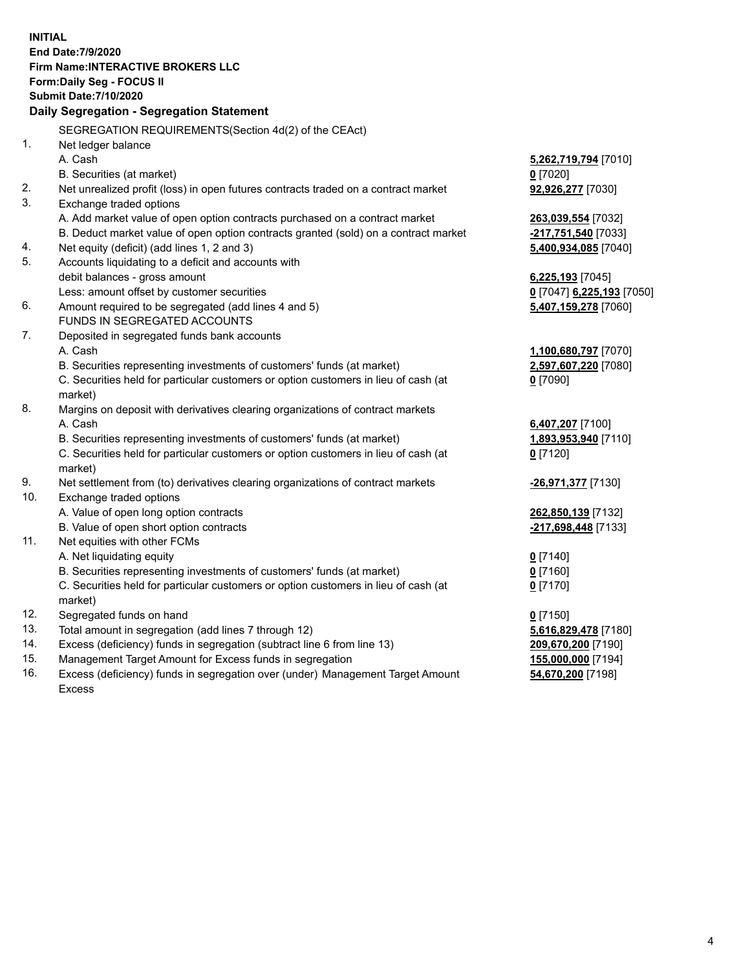**INITIAL End Date:7/9/2020 Firm Name:INTERACTIVE BROKERS LLC Form:Daily Seg - FOCUS II Submit Date:7/10/2020 Daily Segregation - Segregation Statement** SEGREGATION REQUIREMENTS(Section 4d(2) of the CEAct) 1. Net ledger balance A. Cash **5,262,719,794** [7010] B. Securities (at market) **0** [7020] 2. Net unrealized profit (loss) in open futures contracts traded on a contract market **92,926,277** [7030] 3. Exchange traded options A. Add market value of open option contracts purchased on a contract market **263,039,554** [7032] B. Deduct market value of open option contracts granted (sold) on a contract market **-217,751,540** [7033] 4. Net equity (deficit) (add lines 1, 2 and 3) **5,400,934,085** [7040] 5. Accounts liquidating to a deficit and accounts with debit balances - gross amount **6,225,193** [7045] Less: amount offset by customer securities **0** [7047] **6,225,193** [7050] 6. Amount required to be segregated (add lines 4 and 5) **5,407,159,278** [7060] FUNDS IN SEGREGATED ACCOUNTS 7. Deposited in segregated funds bank accounts A. Cash **1,100,680,797** [7070] B. Securities representing investments of customers' funds (at market) **2,597,607,220** [7080] C. Securities held for particular customers or option customers in lieu of cash (at market) **0** [7090] 8. Margins on deposit with derivatives clearing organizations of contract markets A. Cash **6,407,207** [7100] B. Securities representing investments of customers' funds (at market) **1,893,953,940** [7110] C. Securities held for particular customers or option customers in lieu of cash (at market) **0** [7120] 9. Net settlement from (to) derivatives clearing organizations of contract markets **-26,971,377** [7130] 10. Exchange traded options A. Value of open long option contracts **262,850,139** [7132] B. Value of open short option contracts **-217,698,448** [7133] 11. Net equities with other FCMs A. Net liquidating equity **0** [7140] B. Securities representing investments of customers' funds (at market) **0** [7160] C. Securities held for particular customers or option customers in lieu of cash (at market) **0** [7170] 12. Segregated funds on hand **0** [7150] 13. Total amount in segregation (add lines 7 through 12) **5,616,829,478** [7180] 14. Excess (deficiency) funds in segregation (subtract line 6 from line 13) **209,670,200** [7190] 15. Management Target Amount for Excess funds in segregation **155,000,000** [7194] **54,670,200** [7198]

16. Excess (deficiency) funds in segregation over (under) Management Target Amount Excess